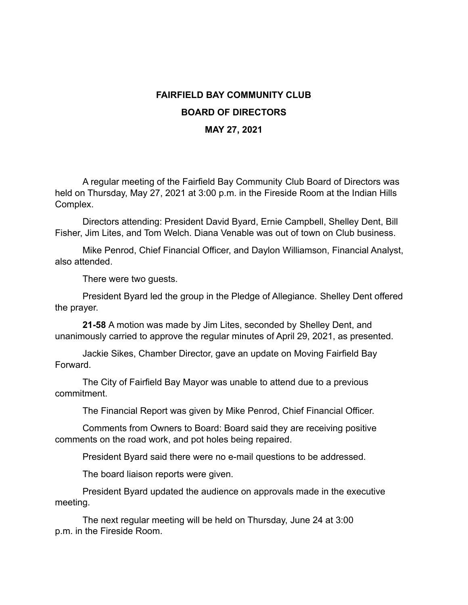## **FAIRFIELD BAY COMMUNITY CLUB BOARD OF DIRECTORS MAY 27, 2021**

A regular meeting of the Fairfield Bay Community Club Board of Directors was held on Thursday, May 27, 2021 at 3:00 p.m. in the Fireside Room at the Indian Hills Complex.

Directors attending: President David Byard, Ernie Campbell, Shelley Dent, Bill Fisher, Jim Lites, and Tom Welch. Diana Venable was out of town on Club business.

Mike Penrod, Chief Financial Officer, and Daylon Williamson, Financial Analyst, also attended.

There were two guests.

President Byard led the group in the Pledge of Allegiance. Shelley Dent offered the prayer.

**21-58** A motion was made by Jim Lites, seconded by Shelley Dent, and unanimously carried to approve the regular minutes of April 29, 2021, as presented.

Jackie Sikes, Chamber Director, gave an update on Moving Fairfield Bay Forward.

The City of Fairfield Bay Mayor was unable to attend due to a previous commitment.

The Financial Report was given by Mike Penrod, Chief Financial Officer.

Comments from Owners to Board: Board said they are receiving positive comments on the road work, and pot holes being repaired.

President Byard said there were no e-mail questions to be addressed.

The board liaison reports were given.

President Byard updated the audience on approvals made in the executive meeting.

The next regular meeting will be held on Thursday, June 24 at 3:00 p.m. in the Fireside Room.